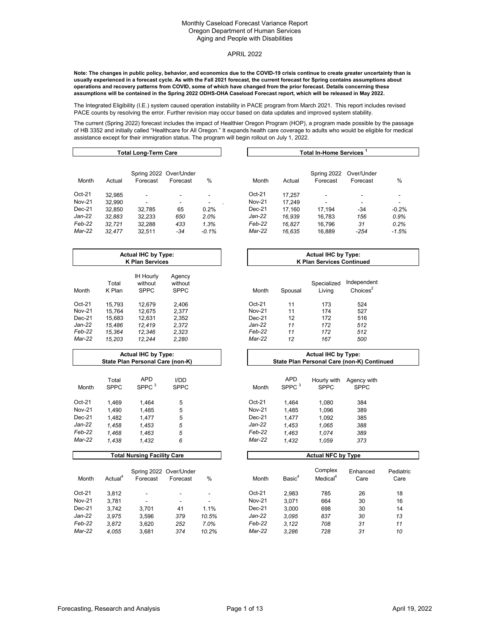### APRIL 2022

**Note: The changes in public policy, behavior, and economics due to the COVID-19 crisis continue to create greater uncertainty than is usually experienced in a forecast cycle. As with the Fall 2021 forecast, the current forecast for Spring contains assumptions about operations and recovery patterns from COVID, some of which have changed from the prior forecast. Details concerning these assumptions will be contained in the Spring 2022 ODHS-OHA Caseload Forecast report, which will be released in May 2022.**

The Integrated Eligibility (I.E.) system caused operation instability in PACE program from March 2021. This report includes revised PACE counts by resolving the error. Further revision may occur based on data updates and improved system stability.

The current (Spring 2022) forecast includes the impact of Healthier Oregon Program (HOP), a program made possible by the passage of HB 3352 and initially called "Healthcare for All Oregon." It expands health care coverage to adults who would be eligible for medical assistance except for their immigration status. The program will begin rollout on July 1, 2022.

|                                        |                                      | Total Long-Term Care                 |                                    |                                 |
|----------------------------------------|--------------------------------------|--------------------------------------|------------------------------------|---------------------------------|
| Month                                  | Actual                               | Forecast                             | Spring 2022 Over/Under<br>Forecast | %                               |
| $Oct-21$<br><b>Nov-21</b>              | 32.985<br>32.990                     |                                      |                                    |                                 |
| $Dec-21$<br>Jan-22<br>Feb-22<br>Mar-22 | 32.850<br>32.883<br>32.721<br>32.477 | 32,785<br>32,233<br>32.288<br>32.511 | 65<br>650<br>433<br>-34            | 0.2%<br>2.0%<br>1.3%<br>$-0.1%$ |
|                                        |                                      |                                      |                                    |                                 |

|        |        | Spring 2022 Over/Under |                          |         |               |        | Spring 2022              | Over/Under |         |
|--------|--------|------------------------|--------------------------|---------|---------------|--------|--------------------------|------------|---------|
| Month  | Actual | Forecast               | Forecast                 | %       | Month         | Actual | Forecast                 | Forecast   | %       |
| Oct-21 | 32.985 | ٠                      | ۰                        |         | $Oct-21$      | 17.257 | $\overline{\phantom{a}}$ |            |         |
| Nov-21 | 32.990 |                        | $\overline{\phantom{a}}$ |         | <b>Nov-21</b> | 17.249 |                          | -          |         |
| Dec-21 | 32.850 | 32.785                 | 65                       | 0.2%    | $Dec-21$      | 17.160 | 17.194                   | $-34$      | $-0.2%$ |
| Jan-22 | 32.883 | 32.233                 | 650                      | 2.0%    | Jan-22        | 16.939 | 16.783                   | 156        | 0.9%    |
| Feb-22 | 32.721 | 32.288                 | 433                      | 1.3%    | Feb-22        | 16.827 | 16.796                   | 31         | 0.2%    |
| Mar-22 | 32.477 | 32.511                 | -34                      | $-0.1%$ | Mar-22        | 16.635 | 16,889                   | $-254$     | $-1.5%$ |

**Total In-Home Services <sup>1</sup>**

|               |                 | <b>Actual IHC by Type:</b><br><b>K Plan Services</b> |                                  |               |         | <b>Actual IHC by Type:</b><br><b>K Plan Services Continue</b> |                   |
|---------------|-----------------|------------------------------------------------------|----------------------------------|---------------|---------|---------------------------------------------------------------|-------------------|
| Month         | Total<br>K Plan | <b>IH Hourly</b><br>without<br><b>SPPC</b>           | Agency<br>without<br><b>SPPC</b> | Month         | Spousal | Specialized<br>Livina                                         | Indepen<br>Choice |
| $Oct-21$      | 15.793          | 12.679                                               | 2.406                            | $Oct-21$      | 11      | 173                                                           | 524               |
| <b>Nov-21</b> | 15.764          | 12.675                                               | 2.377                            | <b>Nov-21</b> | 11      | 174                                                           | 527               |
| $Dec-21$      | 15,683          | 12,631                                               | 2,352                            | $Dec-21$      | 12      | 172                                                           | 516               |
| Jan-22        | 15.486          | 12.419                                               | 2.372                            | Jan-22        | 11      | 172                                                           | 512               |
| Feb-22        | 15.364          | 12.346                                               | 2.323                            | Feb-22        | 11      | 172                                                           | 512               |
| Mar-22        | 15.203          | 12.244                                               | 2.280                            | Mar-22        | 12      | 167                                                           | 500               |
|               |                 | Actual ILIC by Type:                                 |                                  |               |         | Actual ILIC by Type:                                          |                   |

|               |                      | Actual 1110 by Type.<br>State Plan Personal Care (non-K) |                     |               |                                 | A<br>State Plan Personal Care (non-K) ( |                      |
|---------------|----------------------|----------------------------------------------------------|---------------------|---------------|---------------------------------|-----------------------------------------|----------------------|
| Month         | Total<br><b>SPPC</b> | <b>APD</b><br>SPPC <sup>3</sup>                          | I/DD<br><b>SPPC</b> | Month         | <b>APD</b><br>SPPC <sup>3</sup> | Hourly with<br><b>SPPC</b>              | Agency<br><b>SPP</b> |
| $Oct-21$      | 1.469                | 1.464                                                    | 5                   | $Oct-21$      | 1.464                           | 1.080                                   | 384                  |
| <b>Nov-21</b> | 1.490                | 1.485                                                    | 5                   | <b>Nov-21</b> | 1.485                           | 1.096                                   | 389                  |
| $Dec-21$      | 1.482                | 1.477                                                    | 5                   | $Dec-21$      | 1.477                           | 1.092                                   | 385                  |
| Jan-22        | 1.458                | 1.453                                                    | 5                   | Jan-22        | 1.453                           | 1.065                                   | 388                  |
| Feb-22        | 1.468                | 1.463                                                    | 5                   | Feb-22        | 1.463                           | 1.074                                   | 389                  |
| Mar-22        | 1.438                | 1.432                                                    | 6                   | Mar-22        | 1.432                           | 1.059                                   | 373                  |
|               |                      | <b>Total Nursing Facility Care</b>                       |                     |               |                                 | <b>Actual NFC by Type</b>               |                      |

|        |                     |                                    |          |       |               |                    |                                 | .                |               |
|--------|---------------------|------------------------------------|----------|-------|---------------|--------------------|---------------------------------|------------------|---------------|
| Month  | Actual <sup>4</sup> | Spring 2022 Over/Under<br>Forecast | Forecast | $\%$  | Month         | Basic <sup>4</sup> | Complex<br>Medical <sup>4</sup> | Enhanced<br>Care | Pedia<br>Care |
| Oct-21 | 3.812               | ۰                                  |          | ٠     | $Oct-21$      | 2.983              | 785                             | 26               | 18            |
| Nov-21 | 3.781               | ۰                                  | -        | ٠     | <b>Nov-21</b> | 3.071              | 664                             | 30               | 16            |
| Dec-21 | 3.742               | 3.701                              | 41       | 1.1%  | $Dec-21$      | 3.000              | 698                             | 30               | 14            |
| Jan-22 | 3.975               | 3.596                              | 379      | 10.5% | Jan-22        | 3.095              | 837                             | 30               | 13            |
| Feb-22 | 3.872               | 3.620                              | 252      | 7.0%  | Feb-22        | 3.122              | 708                             | 31               | 11            |
| Mar-22 | 4.055               | 3.681                              | 374      | 10.2% | Mar-22        | 3.286              | 728                             | 31               | 10            |
|        |                     |                                    |          |       |               |                    |                                 |                  |               |

#### **Actual IHC by Type: K Plan Services Continued**

| זשפוי<br>without<br>SPPC | Month         | Spousal | Specialized<br>Livina | Independent<br>Choices <sup>2</sup> |
|--------------------------|---------------|---------|-----------------------|-------------------------------------|
| 2,406                    | $Oct-21$      | 11      | 173                   | 524                                 |
| 2,377                    | <b>Nov-21</b> | 11      | 174                   | 527                                 |
| 2,352                    | Dec-21        | 12      | 172                   | 516                                 |
| 2,372                    | Jan-22        | 11      | 172                   | 512                                 |
| 2,323                    | Feb-22        | 11      | 172                   | 512                                 |
| 2,280                    | Mar-22        | 12      | 167                   | 500                                 |
|                          |               |         |                       |                                     |

| <b>Actual IHC by Type:</b><br>State Plan Personal Care (non-K) Continued |                        |                            |                            |  |  |  |  |  |
|--------------------------------------------------------------------------|------------------------|----------------------------|----------------------------|--|--|--|--|--|
| Month                                                                    | <b>APD</b><br>SPPC $3$ | Hourly with<br><b>SPPC</b> | Agency with<br><b>SPPC</b> |  |  |  |  |  |
| $Oct-21$                                                                 | 1.464                  | 1.080                      | 384                        |  |  |  |  |  |
| <b>Nov-21</b>                                                            | 1.485                  | 1.096                      | 389                        |  |  |  |  |  |
| $Dec-21$                                                                 | 1.477                  | 1.092                      | 385                        |  |  |  |  |  |
| Jan-22                                                                   | 1.453                  | 1.065                      | 388                        |  |  |  |  |  |
| Feb-22                                                                   | 1.463                  | 1.074                      | 389                        |  |  |  |  |  |
| Mar-22                                                                   | 1.432                  | 1.059                      | 373                        |  |  |  |  |  |

|               | Total Nursing Facility Care |          |                                    |       |  |               |                    | <b>Actual NFC by Type</b>       |                  |                   |
|---------------|-----------------------------|----------|------------------------------------|-------|--|---------------|--------------------|---------------------------------|------------------|-------------------|
| Month         | Actual <sup>4</sup>         | Forecast | Spring 2022 Over/Under<br>Forecast | %     |  | Month         | Basic <sup>4</sup> | Complex<br>Medical <sup>4</sup> | Enhanced<br>Care | Pediatric<br>Care |
| Oct-21        | 3.812                       |          |                                    |       |  | $Oct-21$      | 2,983              | 785                             | 26               | 18                |
| <b>Nov-21</b> | 3.781                       |          |                                    | ۰     |  | <b>Nov-21</b> | 3.071              | 664                             | 30               | 16                |
| Dec-21        | 3.742                       | 3.701    | 41                                 | 1.1%  |  | $Dec-21$      | 3.000              | 698                             | 30               | 14                |
| Jan-22        | 3.975                       | 3.596    | 379                                | 10.5% |  | Jan-22        | 3.095              | 837                             | 30               | 13                |
| Feb-22        | 3.872                       | 3.620    | 252                                | 7.0%  |  | Feb-22        | 3.122              | 708                             | 31               | 11                |
| Mar-22        | 4.055                       | 3.681    | 374                                | 10.2% |  | Mar-22        | 3.286              | 728                             | 31               | 10                |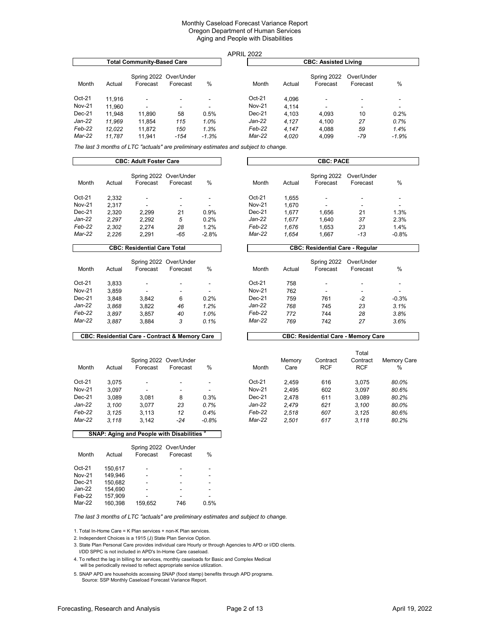|               |        |                                   |                                    |         | <b>APRIL 2022</b> |               |                             |                          |                        |                          |
|---------------|--------|-----------------------------------|------------------------------------|---------|-------------------|---------------|-----------------------------|--------------------------|------------------------|--------------------------|
|               |        | <b>Total Community-Based Care</b> |                                    |         |                   |               | <b>CBC: Assisted Living</b> |                          |                        |                          |
| Month         | Actual | Forecast                          | Spring 2022 Over/Under<br>Forecast | %       |                   | Month         | Actual                      | Spring 2022<br>Forecast  | Over/Under<br>Forecast | %                        |
| Oct-21        | 11.916 |                                   | -                                  |         |                   | $Oct-21$      | 4.096                       | $\overline{\phantom{a}}$ |                        |                          |
| <b>Nov-21</b> | 11.960 |                                   | ۰                                  |         |                   | <b>Nov-21</b> | 4.114                       | $\overline{\phantom{a}}$ |                        | $\overline{\phantom{a}}$ |
| $Dec-21$      | 11.948 | 11.890                            | 58                                 | 0.5%    |                   | $Dec-21$      | 4.103                       | 4.093                    | 10                     | 0.2%                     |
| Jan-22        | 11.969 | 11.854                            | 115                                | 1.0%    |                   | Jan-22        | 4.127                       | 4.100                    | 27                     | 0.7%                     |
| Feb-22        | 12.022 | 11.872                            | 150                                | 1.3%    |                   | Feb-22        | 4.147                       | 4.088                    | 59                     | 1.4%                     |
| Mar-22        | 11.787 | 11.941                            | $-154$                             | $-1.3%$ |                   | Mar-22        | 4,020                       | 4,099                    | -79                    | $-1.9%$                  |

*The last 3 months of LTC "actuals" are preliminary estimates and subject to change.*

|               | <b>CBC: Adult Foster Care</b> |                                    |                        |               |  | <b>CBC: PACE</b> |        |                                        |                        |                          |
|---------------|-------------------------------|------------------------------------|------------------------|---------------|--|------------------|--------|----------------------------------------|------------------------|--------------------------|
| Month         | Actual                        | Spring 2022<br>Forecast            | Over/Under<br>Forecast | %             |  | Month            | Actual | Spring 2022<br>Forecast                | Over/Under<br>Forecast | %                        |
| $Oct-21$      | 2.332                         | $\overline{\phantom{a}}$           |                        |               |  | $Oct-21$         | 1.655  |                                        | ۰                      | $\overline{\phantom{a}}$ |
| <b>Nov-21</b> | 2.317                         | $\overline{\phantom{a}}$           | -                      |               |  | <b>Nov-21</b>    | 1.670  | -                                      | ۰                      | $\overline{\phantom{a}}$ |
| $Dec-21$      | 2,320                         | 2,299                              | 21                     | 0.9%          |  | $Dec-21$         | 1,677  | 1.656                                  | 21                     | 1.3%                     |
| Jan-22        | 2.297                         | 2.292                              | 5                      | 0.2%          |  | Jan-22           | 1.677  | 1.640                                  | 37                     | 2.3%                     |
| Feb-22        | 2.302                         | 2.274                              | 28                     | 1.2%          |  | Feb-22           | 1.676  | 1.653                                  | 23                     | 1.4%                     |
| Mar-22        | 2.226                         | 2.291                              | $-65$                  | $-2.8%$       |  | Mar-22           | 1.654  | 1.667                                  | -13                    | $-0.8%$                  |
|               |                               | <b>CBC: Residential Care Total</b> |                        |               |  |                  |        | <b>CBC: Residential Care - Regular</b> |                        |                          |
| Month         | Actual                        | Spring 2022<br>Forecast            | Over/Under<br>Forecast | $\frac{0}{0}$ |  | Month            | Actual | Spring 2022<br>Forecast                | Over/Under<br>Forecast | %                        |

| Month         | Actual | Forecast | Forecast | %    | Month         | Actual | Forecast | Forecast | %       |
|---------------|--------|----------|----------|------|---------------|--------|----------|----------|---------|
| Oct-21        | 3.833  | -        |          |      | $Oct-21$      | 758    | -        | -        |         |
| <b>Nov-21</b> | 3.859  | -        |          | -    | <b>Nov-21</b> | 762    | -        |          |         |
| Dec-21        | 3.848  | 3.842    | 6        | 0.2% | $Dec-21$      | 759    | 761      | -2       | $-0.3%$ |
| Jan-22        | 3.868  | 3.822    | 46       | 1.2% | Jan-22        | 768    | 745      | 23       | 3.1%    |
| Feb-22        | 3.897  | 3.857    | 40       | 1.0% | Feb-22        | 772    | 744      | 28       | 3.8%    |
| Mar-22        | 3.887  | 3.884    |          | 0.1% | Mar-22        | 769    | 742      | 27       | 3.6%    |

### **CBC: Residential Care - Contract & Memory Care**

|               |        |                                    |          |                          |               |                | ι οτaι                 |                        |               |  |
|---------------|--------|------------------------------------|----------|--------------------------|---------------|----------------|------------------------|------------------------|---------------|--|
| Month         | Actual | Spring 2022 Over/Under<br>Forecast | Forecast | %                        | Month         | Memory<br>Care | Contract<br><b>RCF</b> | Contract<br><b>RCF</b> | Memory C<br>% |  |
|               |        |                                    |          |                          |               |                |                        |                        |               |  |
| $Oct-21$      | 3.075  | ٠                                  |          | $\overline{\phantom{a}}$ | $Oct-21$      | 2.459          | 616                    | 3.075                  | 80.0%         |  |
| <b>Nov-21</b> | 3.097  |                                    |          | $\overline{\phantom{a}}$ | <b>Nov-21</b> | 2.495          | 602                    | 3.097                  | 80.6%         |  |
| $Dec-21$      | 3.089  | 3.081                              | 8        | 0.3%                     | $Dec-21$      | 2.478          | 611                    | 3.089                  | 80.2%         |  |
| Jan-22        | 3.100  | 3.077                              | 23       | 0.7%                     | Jan-22        | 2.479          | 621                    | 3.100                  | 80.0%         |  |
| Feb-22        | 3.125  | 3.113                              | 12       | 0.4%                     | Feb-22        | 2.518          | 607                    | 3.125                  | 80.6%         |  |
| Mar-22        | 3.118  | 3.142                              | $-24$    | $-0.8%$                  | Mar-22        | 2.501          | 617                    | 3.118                  | 80.2%         |  |
|               |        |                                    |          |                          |               |                |                        |                        |               |  |

|        |        | <b>CBC: Residential Care - Contract &amp; Memory Care</b> |          |      |               |        | <b>CBC: Residential Care - Memory Care</b> |            |                    |
|--------|--------|-----------------------------------------------------------|----------|------|---------------|--------|--------------------------------------------|------------|--------------------|
|        |        |                                                           |          |      |               |        |                                            | Total      |                    |
|        |        | Spring 2022 Over/Under                                    |          |      |               | Memory | Contract                                   | Contract   | <b>Memory Care</b> |
| Month  | Actual | Forecast                                                  | Forecast | $\%$ | Month         | Care   | <b>RCF</b>                                 | <b>RCF</b> | %                  |
| Oct-21 | 3.075  | -                                                         |          |      | $Oct-21$      | 2.459  | 616                                        | 3.075      | 80.0%              |
| Nov-21 | 3.097  | -                                                         |          | -    | <b>Nov-21</b> | 2.495  | 602                                        | 3.097      | 80.6%              |
| Dec-21 | 3.089  | 3.081                                                     | 8        | 0.3% | $Dec-21$      | 2.478  | 611                                        | 3.089      | 80.2%              |
| Jan-22 | 3.100  | 3.077                                                     | 23       | 0.7% | Jan-22        | 2.479  | 621                                        | 3.100      | 80.0%              |
| Feb-22 | 3.125  | 3.113                                                     | 12       | 0.4% | Feb-22        | 2.518  | 607                                        | 3.125      | 80.6%              |

| SNAP: Aging and People with Disabilities <sup>5</sup> |         |                                    |          |               |  |  |  |  |  |  |
|-------------------------------------------------------|---------|------------------------------------|----------|---------------|--|--|--|--|--|--|
| Month                                                 | Actual  | Spring 2022 Over/Under<br>Forecast | Forecast | $\frac{0}{0}$ |  |  |  |  |  |  |
| $Oct-21$                                              | 150.617 |                                    |          |               |  |  |  |  |  |  |
| <b>Nov-21</b>                                         | 149.946 |                                    |          |               |  |  |  |  |  |  |
| $Dec-21$                                              | 150,682 |                                    |          |               |  |  |  |  |  |  |
| $Jan-22$                                              | 154.690 |                                    |          |               |  |  |  |  |  |  |
| Feb-22                                                | 157.909 |                                    |          |               |  |  |  |  |  |  |

Mar-22 160,398 159,652 746 0.5%

*The last 3 months of LTC "actuals" are preliminary estimates and subject to change.*

1. Total In-Home Care = K Plan services + non-K Plan services.

2. Independent Choices is a 1915 (J) State Plan Service Option.

3. State Plan Personal Care provides individual care Hourly or through Agencies to APD or I/DD clients. I/DD SPPC is not included in APD's In-Home Care caseload.

4. To reflect the lag in billing for services, monthly caseloads for Basic and Complex Medical will be periodically revised to reflect appropriate service utilization.

5. SNAP APD are households accessing SNAP (food stamp) benefits through APD programs. Source: SSP Monthly Caseload Forecast Variance Report.

 $\Gamma$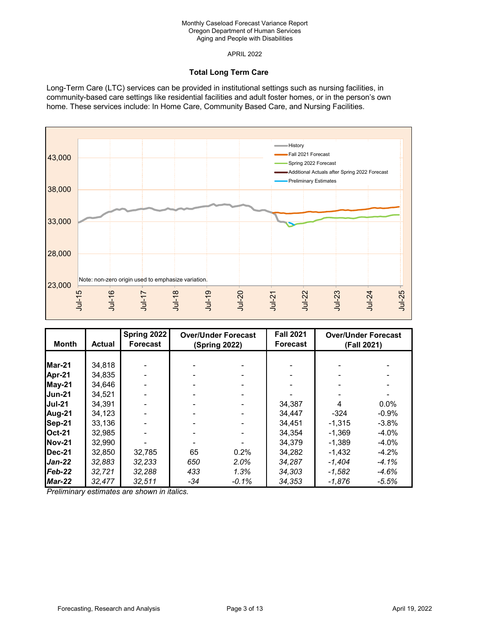APRIL 2022

# **Total Long Term Care**

Long-Term Care (LTC) services can be provided in institutional settings such as nursing facilities, in community-based care settings like residential facilities and adult foster homes, or in the person's own home. These services include: In Home Care, Community Based Care, and Nursing Facilities.



| <b>Month</b>   | <b>Actual</b> | Spring 2022<br>Forecast | <b>Over/Under Forecast</b><br>(Spring 2022) |          | <b>Fall 2021</b><br><b>Forecast</b> | <b>Over/Under Forecast</b><br>(Fall 2021) |         |
|----------------|---------------|-------------------------|---------------------------------------------|----------|-------------------------------------|-------------------------------------------|---------|
|                |               |                         |                                             |          |                                     |                                           |         |
| Mar-21         | 34,818        |                         |                                             |          |                                     |                                           |         |
| Apr-21         | 34,835        |                         |                                             |          |                                     |                                           |         |
| $May-21$       | 34,646        |                         |                                             |          |                                     |                                           |         |
| <b>Jun-21</b>  | 34.521        |                         |                                             |          |                                     |                                           |         |
| <b>Jul-21</b>  | 34,391        |                         |                                             |          | 34,387                              | 4                                         | 0.0%    |
| Aug-21         | 34,123        |                         |                                             |          | 34.447                              | $-324$                                    | $-0.9%$ |
| Sep-21         | 33,136        |                         |                                             |          | 34.451                              | $-1.315$                                  | $-3.8%$ |
| <b>Oct-21</b>  | 32,985        |                         |                                             |          | 34.354                              | $-1.369$                                  | $-4.0%$ |
| <b>INov-21</b> | 32,990        |                         |                                             |          | 34,379                              | $-1,389$                                  | $-4.0%$ |
| <b>Dec-21</b>  | 32,850        | 32,785                  | 65                                          | 0.2%     | 34,282                              | $-1,432$                                  | $-4.2%$ |
| $Jan-22$       | 32,883        | 32,233                  | 650                                         | $2.0\%$  | 34,287                              | $-1.404$                                  | $-4.1%$ |
| $Feb-22$       | 32,721        | 32.288                  | 433                                         | 1.3%     | 34.303                              | $-1.582$                                  | $-4.6%$ |
| $Mar-22$       | 32,477        | 32,511                  | $-34$                                       | $-0.1\%$ | 34.353                              | $-1.876$                                  | $-5.5%$ |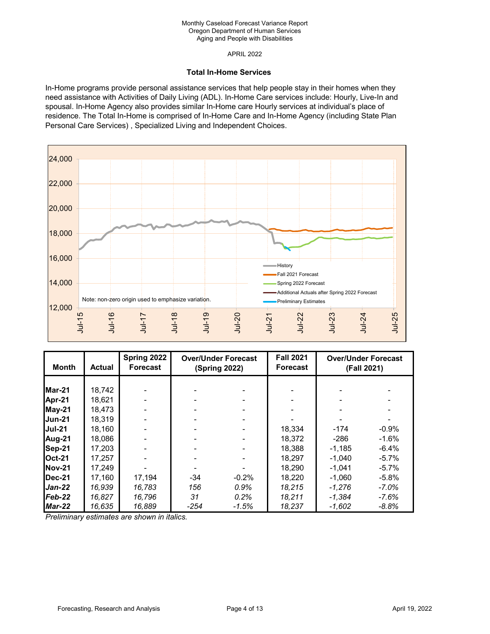APRIL 2022

### **Total In-Home Services**

In-Home programs provide personal assistance services that help people stay in their homes when they need assistance with Activities of Daily Living (ADL). In-Home Care services include: Hourly, Live-In and spousal. In-Home Agency also provides similar In-Home care Hourly services at individual's place of residence. The Total In-Home is comprised of In-Home Care and In-Home Agency (including State Plan Personal Care Services) , Specialized Living and Independent Choices.



| <b>Month</b>  | <b>Actual</b> | Spring 2022<br>Forecast | <b>Over/Under Forecast</b><br><b>(Spring 2022)</b> |         | <b>Fall 2021</b><br><b>Forecast</b> |          | <b>Over/Under Forecast</b><br>(Fall 2021) |
|---------------|---------------|-------------------------|----------------------------------------------------|---------|-------------------------------------|----------|-------------------------------------------|
|               |               |                         |                                                    |         |                                     |          |                                           |
| Mar-21        | 18,742        |                         |                                                    |         |                                     |          |                                           |
| Apr-21        | 18.621        |                         |                                                    |         |                                     |          |                                           |
| May-21        | 18.473        |                         |                                                    |         |                                     |          |                                           |
| <b>Jun-21</b> | 18.319        |                         |                                                    |         |                                     |          |                                           |
| <b>Jul-21</b> | 18,160        |                         |                                                    |         | 18,334                              | $-174$   | $-0.9%$                                   |
| Aug-21        | 18.086        |                         |                                                    |         | 18.372                              | -286     | $-1.6%$                                   |
| Sep-21        | 17.203        |                         |                                                    |         | 18,388                              | $-1.185$ | $-6.4%$                                   |
| <b>Oct-21</b> | 17.257        |                         |                                                    |         | 18,297                              | $-1,040$ | $-5.7%$                                   |
| <b>Nov-21</b> | 17.249        |                         |                                                    |         | 18.290                              | $-1.041$ | $-5.7\%$                                  |
| <b>Dec-21</b> | 17,160        | 17,194                  | $-34$                                              | $-0.2%$ | 18,220                              | $-1.060$ | $-5.8%$                                   |
| $Jan-22$      | 16.939        | 16.783                  | 156                                                | $0.9\%$ | 18.215                              | $-1.276$ | $-7.0\%$                                  |
| $Feb-22$      | 16.827        | 16.796                  | 31                                                 | 0.2%    | 18.211                              | -1.384   | $-7.6%$                                   |
| <b>Mar-22</b> | 16.635        | 16,889                  | $-254$                                             | $-1.5%$ | 18,237                              | $-1.602$ | $-8.8%$                                   |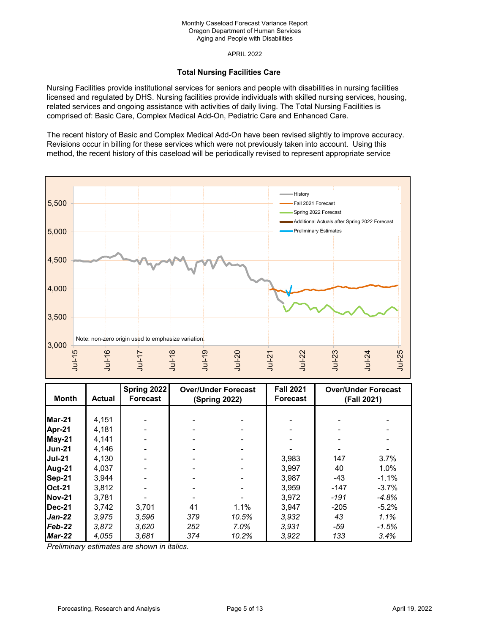APRIL 2022

## **Total Nursing Facilities Care**

Nursing Facilities provide institutional services for seniors and people with disabilities in nursing facilities licensed and regulated by DHS. Nursing facilities provide individuals with skilled nursing services, housing, related services and ongoing assistance with activities of daily living. The Total Nursing Facilities is comprised of: Basic Care, Complex Medical Add-On, Pediatric Care and Enhanced Care.

The recent history of Basic and Complex Medical Add-On have been revised slightly to improve accuracy. Revisions occur in billing for these services which were not previously taken into account. Using this method, the recent history of this caseload will be periodically revised to represent appropriate service



| <b>Month</b>  | <b>Actual</b> | Spring 2022<br><b>Forecast</b> | <b>Over/Under Forecast</b><br>(Spring 2022) |       | <b>Fall 2021</b><br><b>Forecast</b> |        | <b>Over/Under Forecast</b><br>(Fall 2021) |
|---------------|---------------|--------------------------------|---------------------------------------------|-------|-------------------------------------|--------|-------------------------------------------|
|               |               |                                |                                             |       |                                     |        |                                           |
| Mar-21        | 4,151         |                                |                                             |       |                                     |        |                                           |
| Apr-21        | 4,181         |                                |                                             |       |                                     |        |                                           |
| <b>May-21</b> | 4,141         |                                |                                             |       |                                     |        |                                           |
| <b>Jun-21</b> | 4.146         |                                |                                             |       |                                     |        |                                           |
| <b>Jul-21</b> | 4,130         |                                |                                             |       | 3,983                               | 147    | 3.7%                                      |
| Aug-21        | 4.037         |                                |                                             |       | 3.997                               | 40     | 1.0%                                      |
| Sep-21        | 3,944         |                                |                                             |       | 3,987                               | $-43$  | $-1.1%$                                   |
| <b>Oct-21</b> | 3,812         |                                |                                             |       | 3,959                               | $-147$ | $-3.7%$                                   |
| <b>Nov-21</b> | 3,781         |                                |                                             |       | 3,972                               | $-191$ | $-4.8%$                                   |
| <b>Dec-21</b> | 3.742         | 3,701                          | 41                                          | 1.1%  | 3.947                               | $-205$ | $-5.2%$                                   |
| $Jan-22$      | 3.975         | 3.596                          | 379                                         | 10.5% | 3.932                               | 43     | 1.1%                                      |
| Feb-22        | 3.872         | 3,620                          | 252                                         | 7.0%  | 3.931                               | $-59$  | $-1.5%$                                   |
| <b>Mar-22</b> | 4,055         | 3.681                          | 374                                         | 10.2% | 3.922                               | 133    | 3.4%                                      |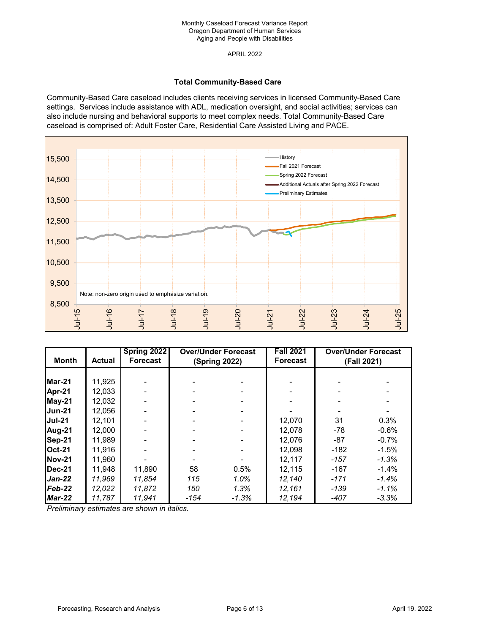APRIL 2022

### **Total Community-Based Care**

Community-Based Care caseload includes clients receiving services in licensed Community-Based Care settings. Services include assistance with ADL, medication oversight, and social activities; services can also include nursing and behavioral supports to meet complex needs. Total Community-Based Care caseload is comprised of: Adult Foster Care, Residential Care Assisted Living and PACE.



| <b>Month</b>   | <b>Actual</b> | Spring 2022<br>Forecast | <b>Over/Under Forecast</b><br><b>(Spring 2022)</b> |         | <b>Fall 2021</b><br><b>Forecast</b> | <b>Over/Under Forecast</b><br>(Fall 2021) |         |
|----------------|---------------|-------------------------|----------------------------------------------------|---------|-------------------------------------|-------------------------------------------|---------|
|                |               |                         |                                                    |         |                                     |                                           |         |
| <b>Mar-21</b>  | 11,925        |                         |                                                    |         |                                     |                                           |         |
| Apr-21         | 12,033        |                         |                                                    |         |                                     |                                           |         |
| May-21         | 12,032        |                         |                                                    |         |                                     |                                           |         |
| <b>Jun-21</b>  | 12,056        |                         |                                                    |         |                                     |                                           |         |
| <b>Jul-21</b>  | 12,101        |                         |                                                    |         | 12,070                              | 31                                        | 0.3%    |
| Aug-21         | 12,000        |                         |                                                    |         | 12,078                              | $-78$                                     | $-0.6%$ |
| Sep-21         | 11,989        |                         |                                                    |         | 12,076                              | $-87$                                     | $-0.7%$ |
| <b>Oct-21</b>  | 11,916        |                         |                                                    |         | 12,098                              | $-182$                                    | $-1.5%$ |
| <b>INov-21</b> | 11,960        |                         |                                                    |         | 12,117                              | $-157$                                    | $-1.3%$ |
| <b>Dec-21</b>  | 11,948        | 11,890                  | 58                                                 | 0.5%    | 12,115                              | $-167$                                    | $-1.4%$ |
| $Jan-22$       | 11,969        | 11,854                  | 115                                                | 1.0%    | 12,140                              | $-171$                                    | $-1.4%$ |
| $Feb-22$       | 12.022        | 11,872                  | 150                                                | 1.3%    | 12.161                              | -139                                      | $-1.1%$ |
| $Mar-22$       | 11,787        | 11,941                  | -154                                               | $-1.3%$ | 12,194                              | $-407$                                    | $-3.3%$ |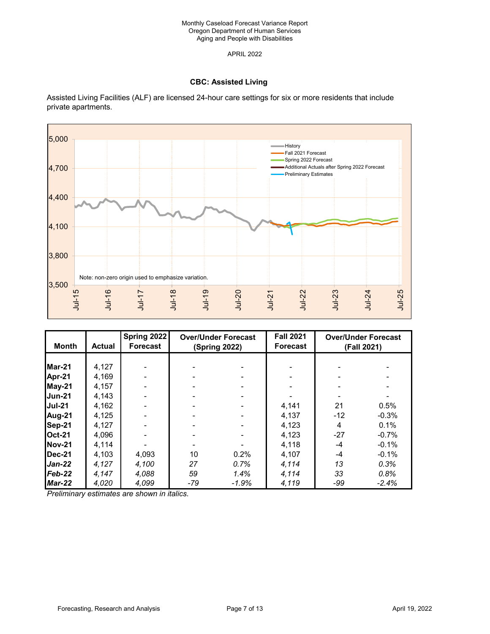# **CBC: Assisted Living**

Assisted Living Facilities (ALF) are licensed 24-hour care settings for six or more residents that include private apartments.



| <b>Month</b>   | <b>Actual</b> | Spring 2022<br><b>Forecast</b> | <b>Over/Under Forecast</b><br><b>(Spring 2022)</b> |         | <b>Fall 2021</b><br><b>Forecast</b> |       | <b>Over/Under Forecast</b><br>(Fall 2021) |
|----------------|---------------|--------------------------------|----------------------------------------------------|---------|-------------------------------------|-------|-------------------------------------------|
|                |               |                                |                                                    |         |                                     |       |                                           |
| <b>Mar-21</b>  | 4,127         |                                |                                                    |         |                                     |       |                                           |
| Apr-21         | 4,169         |                                |                                                    |         |                                     |       |                                           |
| <b>May-21</b>  | 4,157         |                                |                                                    |         |                                     |       |                                           |
| <b>Jun-21</b>  | 4,143         |                                |                                                    |         |                                     |       |                                           |
| <b>Jul-21</b>  | 4,162         |                                |                                                    |         | 4,141                               | 21    | 0.5%                                      |
| Aug-21         | 4,125         |                                |                                                    |         | 4,137                               | $-12$ | $-0.3%$                                   |
| Sep-21         | 4,127         |                                |                                                    |         | 4,123                               | 4     | 0.1%                                      |
| <b>IOct-21</b> | 4,096         |                                |                                                    |         | 4,123                               | $-27$ | $-0.7%$                                   |
| <b>INov-21</b> | 4,114         |                                |                                                    |         | 4,118                               | -4    | $-0.1%$                                   |
| <b>Dec-21</b>  | 4,103         | 4,093                          | 10                                                 | 0.2%    | 4,107                               | $-4$  | $-0.1%$                                   |
| <b>Jan-22</b>  | 4,127         | 4,100                          | 27                                                 | 0.7%    | 4,114                               | 13    | 0.3%                                      |
| $Feb-22$       | 4.147         | 4,088                          | 59                                                 | 1.4%    | 4,114                               | 33    | 0.8%                                      |
| $Mar-22$       | 4,020         | 4,099                          | $-79$                                              | $-1.9%$ | 4,119                               | -99   | $-2.4%$                                   |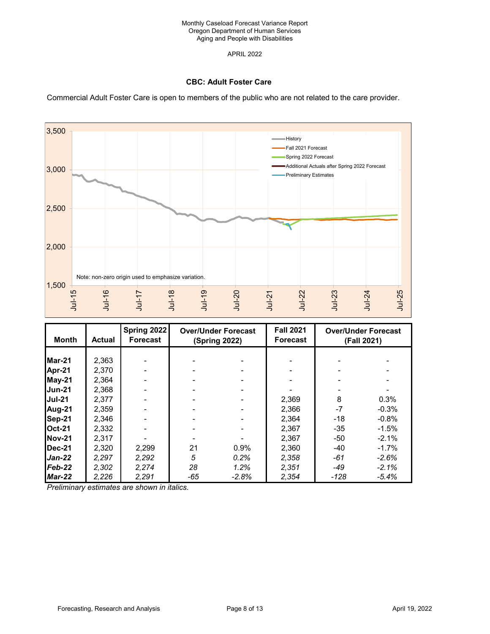## **CBC: Adult Foster Care**

Commercial Adult Foster Care is open to members of the public who are not related to the care provider.



| <b>Month</b>  | <b>Actual</b> | Spring 2022<br>Forecast | <b>Over/Under Forecast</b><br><b>(Spring 2022)</b> |         | <b>Fall 2021</b><br><b>Forecast</b> | <b>Over/Under Forecast</b><br>(Fall 2021) |         |
|---------------|---------------|-------------------------|----------------------------------------------------|---------|-------------------------------------|-------------------------------------------|---------|
|               |               |                         |                                                    |         |                                     |                                           |         |
| Mar-21        | 2,363         |                         |                                                    |         |                                     |                                           |         |
| Apr-21        | 2.370         |                         |                                                    |         |                                     |                                           |         |
| May-21        | 2,364         |                         |                                                    |         |                                     |                                           |         |
| <b>Jun-21</b> | 2,368         |                         |                                                    |         |                                     |                                           |         |
| <b>Jul-21</b> | 2,377         |                         |                                                    |         | 2,369                               | 8                                         | 0.3%    |
| Aug-21        | 2.359         |                         |                                                    |         | 2,366                               | $-7$                                      | $-0.3%$ |
| Sep-21        | 2,346         |                         |                                                    |         | 2,364                               | $-18$                                     | $-0.8%$ |
| <b>Oct-21</b> | 2,332         |                         |                                                    |         | 2,367                               | $-35$                                     | $-1.5%$ |
| Nov-21        | 2,317         |                         |                                                    |         | 2,367                               | -50                                       | $-2.1%$ |
| <b>Dec-21</b> | 2,320         | 2,299                   | 21                                                 | 0.9%    | 2,360                               | $-40$                                     | $-1.7%$ |
| $Jan-22$      | 2,297         | 2.292                   | 5                                                  | 0.2%    | 2,358                               | $-61$                                     | $-2.6%$ |
| Feb-22        | 2,302         | 2,274                   | 28                                                 | 1.2%    | 2,351                               | -49                                       | $-2.1%$ |
| <b>Mar-22</b> | 2,226         | 2,291                   | $-65$                                              | $-2.8%$ | 2,354                               | $-128$                                    | $-5.4%$ |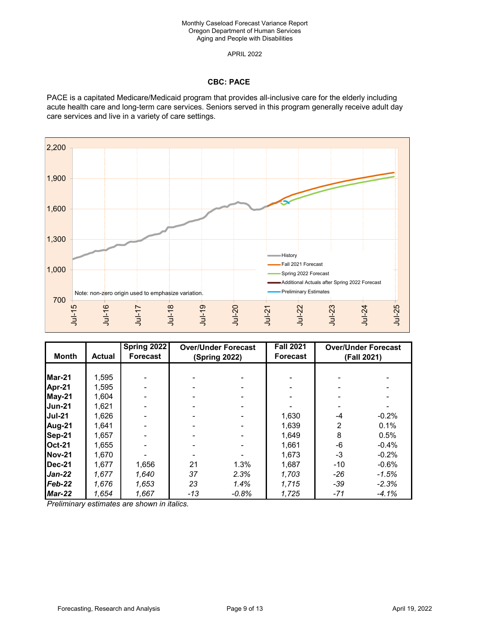# **CBC: PACE**

PACE is a capitated Medicare/Medicaid program that provides all-inclusive care for the elderly including acute health care and long-term care services. Seniors served in this program generally receive adult day care services and live in a variety of care settings.



| <b>Month</b>   | <b>Actual</b> | Spring 2022<br>Forecast |       | <b>Over/Under Forecast</b><br><b>(Spring 2022)</b> | <b>Fall 2021</b><br><b>Forecast</b> |       | <b>Over/Under Forecast</b><br>(Fall 2021) |
|----------------|---------------|-------------------------|-------|----------------------------------------------------|-------------------------------------|-------|-------------------------------------------|
|                |               |                         |       |                                                    |                                     |       |                                           |
| <b>Mar-21</b>  | 1,595         |                         |       |                                                    |                                     |       |                                           |
| Apr-21         | 1.595         |                         |       |                                                    |                                     |       |                                           |
| $May-21$       | 1.604         |                         |       |                                                    |                                     |       |                                           |
| <b>Jun-21</b>  | 1,621         |                         |       |                                                    |                                     |       |                                           |
| <b>Jul-21</b>  | 1,626         |                         |       |                                                    | 1,630                               | -4    | $-0.2%$                                   |
| Aug-21         | 1.641         |                         |       |                                                    | 1,639                               | 2     | 0.1%                                      |
| Sep-21         | 1,657         |                         |       |                                                    | 1,649                               | 8     | 0.5%                                      |
| <b>IOct-21</b> | 1,655         |                         |       |                                                    | 1.661                               | -6    | $-0.4%$                                   |
| <b>INov-21</b> | 1.670         |                         |       |                                                    | 1.673                               | $-3$  | $-0.2%$                                   |
| <b>Dec-21</b>  | 1.677         | 1,656                   | 21    | 1.3%                                               | 1,687                               | $-10$ | $-0.6%$                                   |
| <b>Jan-22</b>  | 1,677         | 1.640                   | 37    | 2.3%                                               | 1.703                               | -26   | $-1.5%$                                   |
| $Feb-22$       | 1.676         | 1,653                   | 23    | 1.4%                                               | 1.715                               | -39   | $-2.3%$                                   |
| $Mar-22$       | 1.654         | 1.667                   | $-13$ | $-0.8%$                                            | 1,725                               | -71   | $-4.1%$                                   |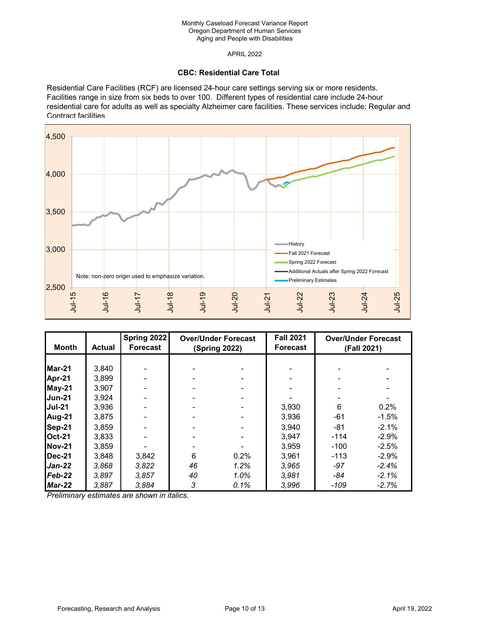APRIL 2022

# **CBC: Residential Care Total**

Residential Care Facilities (RCF) are licensed 24-hour care settings serving six or more residents. Facilities range in size from six beds to over 100. Different types of residential care include 24-hour residential care for adults as well as specialty Alzheimer care facilities. These services include: Regular and Contract facilities



| Month          | <b>Actual</b> | Spring 2022<br><b>Forecast</b> | <b>Over/Under Forecast</b><br>(Spring 2022) |      | <b>Fall 2021</b><br><b>Forecast</b> |        | <b>Over/Under Forecast</b><br>(Fall 2021) |
|----------------|---------------|--------------------------------|---------------------------------------------|------|-------------------------------------|--------|-------------------------------------------|
|                |               |                                |                                             |      |                                     |        |                                           |
| <b>Mar-21</b>  | 3,840         |                                |                                             |      |                                     |        |                                           |
| Apr-21         | 3,899         |                                |                                             |      |                                     |        |                                           |
| $May-21$       | 3.907         |                                |                                             |      |                                     |        |                                           |
| <b>Jun-21</b>  | 3,924         |                                |                                             |      |                                     |        |                                           |
| <b>Jul-21</b>  | 3,936         |                                |                                             |      | 3,930                               | 6      | 0.2%                                      |
| Aug-21         | 3,875         |                                |                                             |      | 3.936                               | -61    | $-1.5%$                                   |
| Sep-21         | 3,859         |                                |                                             |      | 3,940                               | -81    | $-2.1%$                                   |
| <b>Oct-21</b>  | 3,833         |                                |                                             |      | 3.947                               | $-114$ | $-2.9%$                                   |
| <b>INov-21</b> | 3,859         |                                |                                             |      | 3,959                               | $-100$ | $-2.5%$                                   |
| <b>Dec-21</b>  | 3,848         | 3,842                          | 6                                           | 0.2% | 3,961                               | $-113$ | $-2.9%$                                   |
| <b>Jan-22</b>  | 3,868         | 3,822                          | 46                                          | 1.2% | 3.965                               | $-97$  | $-2.4%$                                   |
| $Feb-22$       | 3.897         | 3,857                          | 40                                          | 1.0% | 3.981                               | -84    | $-2.1%$                                   |
| $Mar-22$       | 3.887         | 3.884                          | 3                                           | 0.1% | 3.996                               | $-109$ | $-2.7%$                                   |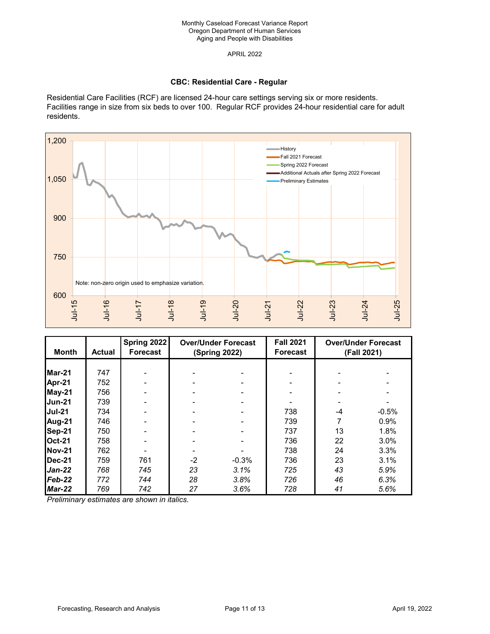## **CBC: Residential Care - Regular**

Residential Care Facilities (RCF) are licensed 24-hour care settings serving six or more residents. Facilities range in size from six beds to over 100. Regular RCF provides 24-hour residential care for adult residents.



| <b>Month</b>   | <b>Actual</b> | Spring 2022<br><b>Forecast</b> | <b>Over/Under Forecast</b><br><b>(Spring 2022)</b> |         | <b>Fall 2021</b><br><b>Forecast</b> |      | <b>Over/Under Forecast</b><br>(Fall 2021) |
|----------------|---------------|--------------------------------|----------------------------------------------------|---------|-------------------------------------|------|-------------------------------------------|
|                |               |                                |                                                    |         |                                     |      |                                           |
| Mar-21         | 747           |                                |                                                    |         |                                     |      |                                           |
| Apr-21         | 752           |                                |                                                    | ۰       |                                     |      |                                           |
| May-21         | 756           |                                |                                                    |         |                                     |      |                                           |
| <b>Jun-21</b>  | 739           |                                |                                                    |         |                                     |      |                                           |
| <b>Jul-21</b>  | 734           |                                |                                                    |         | 738                                 | $-4$ | $-0.5%$                                   |
| Aug-21         | 746           |                                |                                                    |         | 739                                 |      | 0.9%                                      |
| Sep-21         | 750           |                                |                                                    |         | 737                                 | 13   | 1.8%                                      |
| <b>Oct-21</b>  | 758           |                                |                                                    |         | 736                                 | 22   | 3.0%                                      |
| <b>INov-21</b> | 762           |                                |                                                    |         | 738                                 | 24   | 3.3%                                      |
| Dec-21         | 759           | 761                            | $-2$                                               | $-0.3%$ | 736                                 | 23   | 3.1%                                      |
| <b>Jan-22</b>  | 768           | 745                            | 23                                                 | 3.1%    | 725                                 | 43   | 5.9%                                      |
| $Feb-22$       | 772           | 744                            | 28                                                 | 3.8%    | 726                                 | 46   | 6.3%                                      |
| <b>Mar-22</b>  | 769           | 742                            | 27                                                 | 3.6%    | 728                                 | 41   | 5.6%                                      |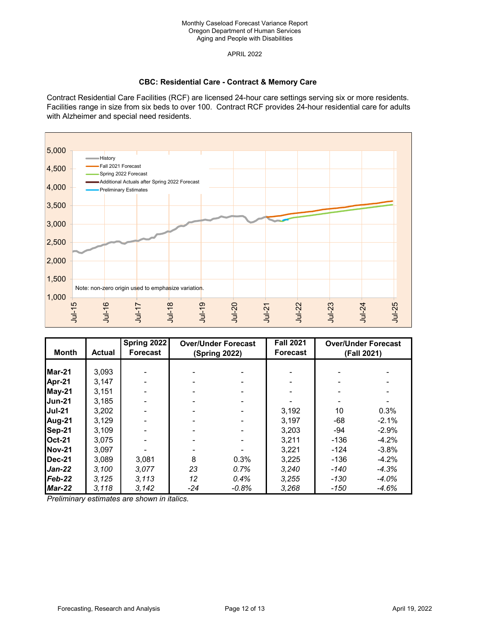## **CBC: Residential Care - Contract & Memory Care**

Contract Residential Care Facilities (RCF) are licensed 24-hour care settings serving six or more residents. Facilities range in size from six beds to over 100. Contract RCF provides 24-hour residential care for adults with Alzheimer and special need residents.



| <b>Month</b>   | <b>Actual</b> | Spring 2022<br><b>Forecast</b> | <b>Over/Under Forecast</b><br><b>(Spring 2022)</b> |         | <b>Fall 2021</b><br><b>Forecast</b> |        | <b>Over/Under Forecast</b><br>(Fall 2021) |
|----------------|---------------|--------------------------------|----------------------------------------------------|---------|-------------------------------------|--------|-------------------------------------------|
|                |               |                                |                                                    |         |                                     |        |                                           |
| <b>Mar-21</b>  | 3,093         |                                |                                                    |         |                                     |        |                                           |
| Apr-21         | 3,147         |                                |                                                    |         |                                     |        |                                           |
| May-21         | 3,151         |                                |                                                    |         |                                     |        |                                           |
| <b>Jun-21</b>  | 3,185         |                                |                                                    |         |                                     |        |                                           |
| <b>Jul-21</b>  | 3.202         |                                |                                                    |         | 3,192                               | 10     | 0.3%                                      |
| Aug-21         | 3.129         |                                |                                                    |         | 3.197                               | -68    | $-2.1%$                                   |
| Sep-21         | 3,109         |                                |                                                    |         | 3,203                               | $-94$  | $-2.9%$                                   |
| <b>Oct-21</b>  | 3,075         |                                |                                                    |         | 3,211                               | $-136$ | $-4.2%$                                   |
| <b>INov-21</b> | 3.097         |                                |                                                    |         | 3.221                               | $-124$ | $-3.8%$                                   |
| Dec-21         | 3.089         | 3.081                          | 8                                                  | 0.3%    | 3.225                               | $-136$ | $-4.2%$                                   |
| <b>Jan-22</b>  | 3,100         | 3.077                          | 23                                                 | 0.7%    | 3,240                               | $-140$ | $-4.3%$                                   |
| $Feb-22$       | 3,125         | 3.113                          | 12                                                 | 0.4%    | 3.255                               | $-130$ | $-4.0%$                                   |
| $Mar-22$       | 3,118         | 3.142                          | $-24$                                              | $-0.8%$ | 3.268                               | $-150$ | $-4.6%$                                   |